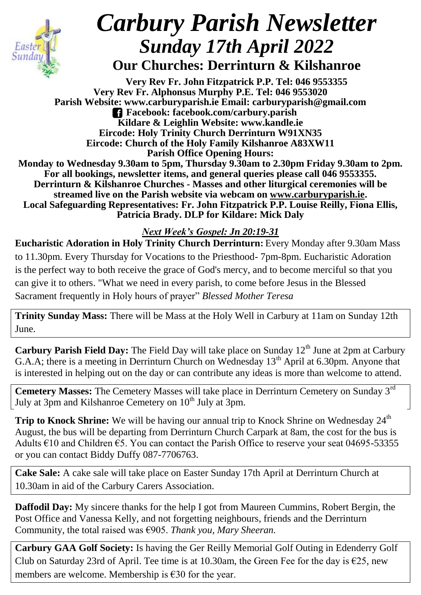

## *Carbury Parish Newsletter Sunday 17th April 2022* **Our Churches: Derrinturn & Kilshanroe**

**Very Rev Fr. John Fitzpatrick P.P. Tel: 046 9553355 Very Rev Fr. Alphonsus Murphy P.E. Tel: 046 9553020 Parish Website: www.carburyparish.ie Email: carburyparish@gmail.com Facebook: facebook.com/carbury.parish Kildare & Leighlin Website: www.kandle.ie Eircode: Holy Trinity Church Derrinturn W91XN35 Eircode: Church of the Holy Family Kilshanroe A83XW11 Parish Office Opening Hours: Monday to Wednesday 9.30am to 5pm, Thursday 9.30am to 2.30pm Friday 9.30am to 2pm. For all bookings, newsletter items, and general queries please call 046 9553355. Derrinturn & Kilshanroe Churches - Masses and other liturgical ceremonies will be streamed live on the Parish website via webcam on [www.carburyparish.ie.](http://www.carburyparish.ie/) Local Safeguarding Representatives: Fr. John Fitzpatrick P.P. Louise Reilly, Fiona Ellis, Patricia Brady. DLP for Kildare: Mick Daly**

*Next Week's Gospel: Jn 20:19-31*

**Eucharistic Adoration in Holy Trinity Church Derrinturn:** Every Monday after 9.30am Mass to 11.30pm. Every Thursday for Vocations to the Priesthood- 7pm-8pm. Eucharistic Adoration is the perfect way to both receive the grace of God's mercy, and to become merciful so that you can give it to others. "What we need in every parish, to come before Jesus in the Blessed Sacrament frequently in Holy hours of prayer" *Blessed Mother Teresa*

**Trinity Sunday Mass:** There will be Mass at the Holy Well in Carbury at 11am on Sunday 12th June.

**Carbury Parish Field Day:** The Field Day will take place on Sunday 12<sup>th</sup> June at 2pm at Carbury G.A.A; there is a meeting in Derrinturn Church on Wednesday  $13<sup>th</sup>$  April at 6.30pm. Anyone that is interested in helping out on the day or can contribute any ideas is more than welcome to attend.

**Cemetery Masses:** The Cemetery Masses will take place in Derrinturn Cemetery on Sunday 3rd July at 3pm and Kilshanroe Cemetery on  $10<sup>th</sup>$  July at 3pm.

**Trip to Knock Shrine:** We will be having our annual trip to Knock Shrine on Wednesday 24<sup>th</sup> August, the bus will be departing from Derrinturn Church Carpark at 8am, the cost for the bus is Adults  $\epsilon$ 10 and Children  $\epsilon$ 5. You can contact the Parish Office to reserve your seat 04695-53355 or you can contact Biddy Duffy 087-7706763.

**Cake Sale:** A cake sale will take place on Easter Sunday 17th April at Derrinturn Church at 10.30am in aid of the Carbury Carers Association.

**Daffodil Day:** My sincere thanks for the help I got from Maureen Cummins, Robert Bergin, the Post Office and Vanessa Kelly, and not forgetting neighbours, friends and the Derrinturn Community, the total raised was €905. *Thank you, Mary Sheeran.*

**Carbury GAA Golf Society:** Is having the Ger Reilly Memorial Golf Outing in Edenderry Golf Club on Saturday 23rd of April. Tee time is at 10.30am, the Green Fee for the day is  $\epsilon$ 25, new members are welcome. Membership is  $\epsilon$ 30 for the year.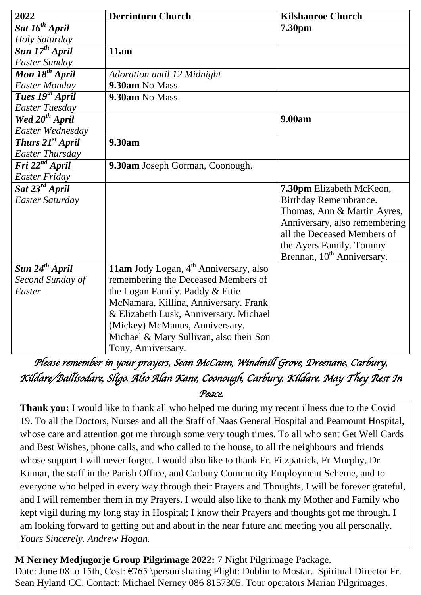| 2022                          | <b>Derrinturn Church</b>                           | <b>Kilshanroe Church</b>               |
|-------------------------------|----------------------------------------------------|----------------------------------------|
| Sat 16 <sup>th</sup> April    |                                                    | 7.30pm                                 |
| Holy Saturday                 |                                                    |                                        |
| Sun 17 <sup>th</sup> April    | 11am                                               |                                        |
| <b>Easter Sunday</b>          |                                                    |                                        |
| Mon 18 <sup>th</sup> April    | Adoration until 12 Midnight                        |                                        |
| <b>Easter Monday</b>          | 9.30am No Mass.                                    |                                        |
| Tues 19 <sup>th</sup> April   | 9.30am No Mass.                                    |                                        |
| <b>Easter Tuesday</b>         |                                                    |                                        |
| Wed 20 <sup>th</sup> April    |                                                    | 9.00am                                 |
| Easter Wednesday              |                                                    |                                        |
| <b>Thurs 21st April</b>       | 9.30am                                             |                                        |
| <b>Easter Thursday</b>        |                                                    |                                        |
| $\overline{Fri 22^{nd}$ April | 9.30am Joseph Gorman, Coonough.                    |                                        |
| <b>Easter Friday</b>          |                                                    |                                        |
| Sat 23 <sup>rd</sup> April    |                                                    | 7.30pm Elizabeth McKeon,               |
| Easter Saturday               |                                                    | Birthday Remembrance.                  |
|                               |                                                    | Thomas, Ann & Martin Ayres,            |
|                               |                                                    | Anniversary, also remembering          |
|                               |                                                    | all the Deceased Members of            |
|                               |                                                    | the Ayers Family. Tommy                |
|                               |                                                    | Brennan, 10 <sup>th</sup> Anniversary. |
| Sun 24 <sup>th</sup> April    | 11am Jody Logan, 4 <sup>th</sup> Anniversary, also |                                        |
| Second Sunday of              | remembering the Deceased Members of                |                                        |
| Easter                        | the Logan Family. Paddy & Ettie                    |                                        |
|                               | McNamara, Killina, Anniversary. Frank              |                                        |
|                               | & Elizabeth Lusk, Anniversary. Michael             |                                        |
|                               | (Mickey) McManus, Anniversary.                     |                                        |
|                               | Michael & Mary Sullivan, also their Son            |                                        |
|                               | Tony, Anniversary.                                 |                                        |

*Please remember in your prayers, Sean McCann, Windmill Grove, Dreenane, Carbury, Kildare/Ballisodare, Sligo. Also Alan Kane, Coonough, Carbury. Kildare. May They Rest In* 

*Peace.* 

**Thank you:** I would like to thank all who helped me during my recent illness due to the Covid 19. To all the Doctors, Nurses and all the Staff of Naas General Hospital and Peamount Hospital, whose care and attention got me through some very tough times. To all who sent Get Well Cards and Best Wishes, phone calls, and who called to the house, to all the neighbours and friends whose support I will never forget. I would also like to thank Fr. Fitzpatrick, Fr Murphy, Dr Kumar, the staff in the Parish Office, and Carbury Community Employment Scheme, and to everyone who helped in every way through their Prayers and Thoughts, I will be forever grateful, and I will remember them in my Prayers. I would also like to thank my Mother and Family who kept vigil during my long stay in Hospital; I know their Prayers and thoughts got me through. I am looking forward to getting out and about in the near future and meeting you all personally. *Yours Sincerely. Andrew Hogan.* 

**M Nerney Medjugorje Group Pilgrimage 2022:** 7 Night Pilgrimage Package. Date: June 08 to 15th, Cost: €765 \person sharing Flight: Dublin to Mostar. Spiritual Director Fr. Sean Hyland CC. Contact: Michael Nerney 086 8157305. Tour operators Marian Pilgrimages.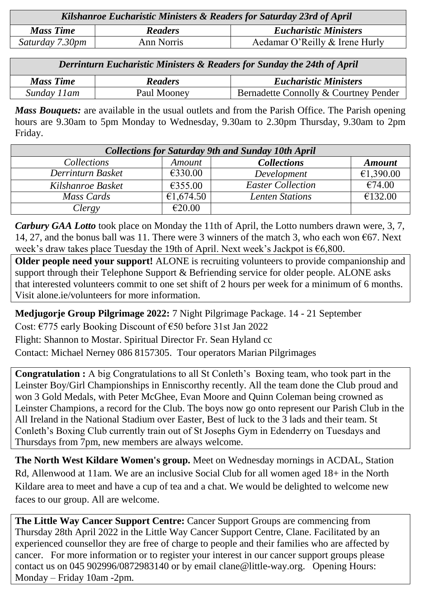| Kilshanroe Eucharistic Ministers & Readers for Saturday 23rd of April |                |                                |  |  |
|-----------------------------------------------------------------------|----------------|--------------------------------|--|--|
| <b>Mass Time</b>                                                      | <b>Readers</b> | <b>Eucharistic Ministers</b>   |  |  |
| Saturday 7.30pm                                                       | Ann Norris     | Aedamar O'Reilly & Irene Hurly |  |  |

*Derrinturn Eucharistic Ministers & Readers for Sunday the 24th of April*

| <b>Mass Time</b> | <b>Readers</b> | <b>Eucharistic Ministers</b>          |
|------------------|----------------|---------------------------------------|
| Sunday 11 am     | Paul Mooney    | Bernadette Connolly & Courtney Pender |

*Mass Bouquets:* are available in the usual outlets and from the Parish Office. The Parish opening hours are 9.30am to 5pm Monday to Wednesday, 9.30am to 2.30pm Thursday, 9.30am to 2pm Friday.

| <b>Collections for Saturday 9th and Sunday 10th April</b> |                      |                          |               |  |  |
|-----------------------------------------------------------|----------------------|--------------------------|---------------|--|--|
| <i>Collections</i>                                        | <i><b>Amount</b></i> | <b>Collections</b>       | <b>Amount</b> |  |  |
| Derrinturn Basket                                         | €330.00              | Development              | €1,390.00     |  |  |
| Kilshanroe Basket                                         | €355.00              | <b>Easter Collection</b> | €74.00        |  |  |
| Mass Cards                                                | €1,674.50            | <b>Lenten Stations</b>   | €132.00       |  |  |
| Clergy                                                    | €20.00               |                          |               |  |  |

*Carbury GAA Lotto* took place on Monday the 11th of April, the Lotto numbers drawn were, 3, 7, 14, 27, and the bonus ball was 11. There were 3 winners of the match 3, who each won  $\epsilon$ 67. Next week's draw takes place Tuesday the 19th of April. Next week's Jackpot is €6,800.

**Older people need your support!** ALONE is recruiting volunteers to provide companionship and support through their Telephone Support & Befriending service for older people. ALONE asks that interested volunteers commit to one set shift of 2 hours per week for a minimum of 6 months. Visit [alone.ie/volunteers](http://alone.ie/volunteers) for more information.

**Medjugorje Group Pilgrimage 2022:** 7 Night Pilgrimage Package. 14 - 21 September Cost: €775 early Booking Discount of €50 before 31st Jan 2022

Flight: Shannon to Mostar. Spiritual Director Fr. Sean Hyland cc

Contact: Michael Nerney 086 8157305. Tour operators Marian Pilgrimages

**Congratulation :** A big Congratulations to all St Conleth's Boxing team, who took part in the Leinster Boy/Girl Championships in Enniscorthy recently. All the team done the Club proud and won 3 Gold Medals, with Peter McGhee, Evan Moore and Quinn Coleman being crowned as Leinster Champions, a record for the Club. The boys now go onto represent our Parish Club in the All Ireland in the National Stadium over Easter, Best of luck to the 3 lads and their team. St Conleth's Boxing Club currently train out of St Josephs Gym in Edenderry on Tuesdays and Thursdays from 7pm, new members are always welcome.

**The North West Kildare Women's group.** Meet on Wednesday mornings in ACDAL, Station Rd, Allenwood at 11am. We are an inclusive Social Club for all women aged 18+ in the North Kildare area to meet and have a cup of tea and a chat. We would be delighted to welcome new faces to our group. All are welcome.

**The Little Way Cancer Support Centre:** Cancer Support Groups are commencing from Thursday 28th April 2022 in the Little Way Cancer Support Centre, Clane. Facilitated by an experienced counsellor they are free of charge to people and their families who are affected by cancer. For more information or to register your interest in our cancer support groups please contact us on 045 902996/0872983140 or by email [clane@little-way.org.](mailto:clane@little-way.org) Opening Hours: Monday – Friday 10am -2pm.